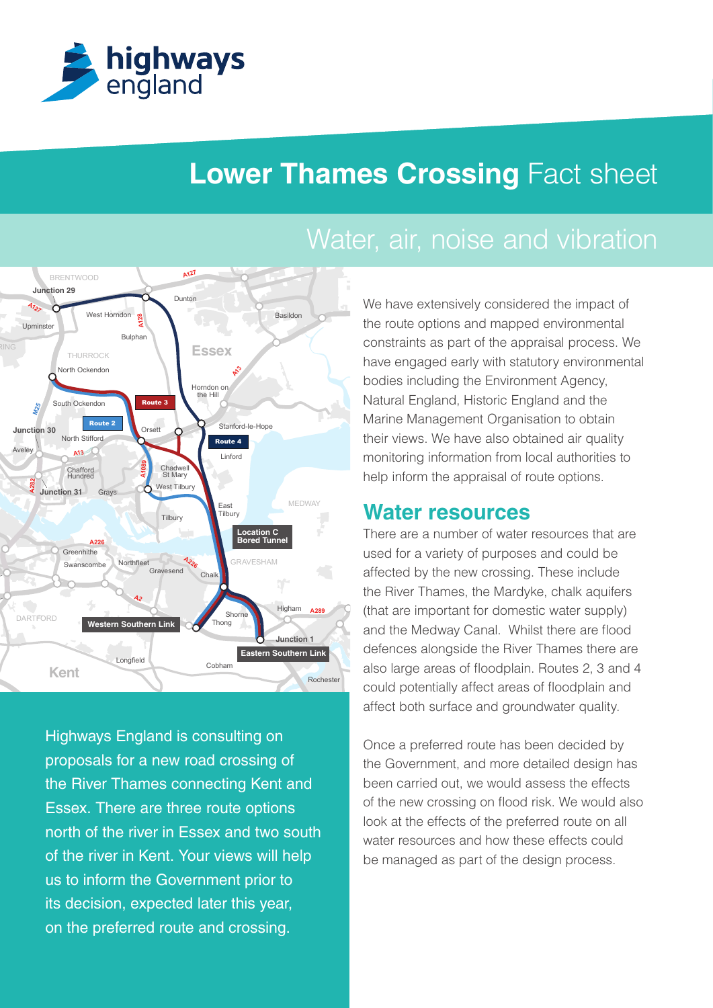

# **Lower Thames Crossing Fact sheet**

# Water, air, noise and vibration



**M20 M26 M20** north of the river in Essex and two south Highways England is consulting on proposals for a new road crossing of the River Thames connecting Kent and Essex. There are three route options of the river in Kent. Your views will help us to inform the Government prior to its decision, expected later this year, on the preferred route and crossing.

Natural England, Historic England and the Basildon **South Basildon** the route options and mapped environmental bodies including the Environment Agency, We have extensively considered the impact of constraints as part of the appraisal process. We have engaged early with statutory environmental Marine Management Organisation to obtain their views. We have also obtained air quality monitoring information from local authorities to help inform the appraisal of route options.

## **Water resources**

affect both surface and groundwater quality. could potentially affect areas of floodplain and There are a number of water resources that are used for a variety of purposes and could be affected by the new crossing. These include the River Thames, the Mardyke, chalk aquifers (that are important for domestic water supply) and the Medway Canal. Whilst there are flood defences alongside the River Thames there are also large areas of floodplain. Routes 2, 3 and 4

**M2** the Government, and more detailed design has of the new crossing on flood risk. We would also Once a preferred route has been decided by been carried out, we would assess the effects look at the effects of the preferred route on all water resources and how these effects could be managed as part of the design process.